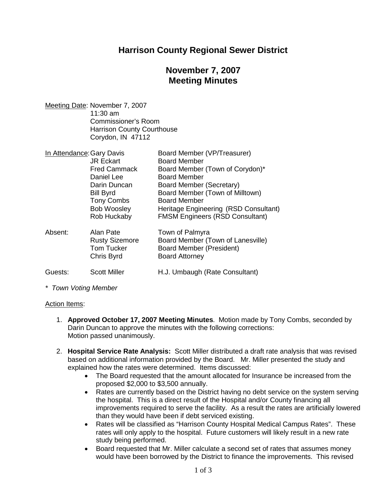### **Harrison County Regional Sewer District**

## **November 7, 2007 Meeting Minutes**

Meeting Date: November 7, 2007 11:30 am Commissioner's Room Harrison County Courthouse Corydon, IN 47112

| In Attendance: Gary Davis |                       | Board Member (VP/Treasurer)            |
|---------------------------|-----------------------|----------------------------------------|
|                           | <b>JR Eckart</b>      | <b>Board Member</b>                    |
|                           | <b>Fred Cammack</b>   | Board Member (Town of Corydon)*        |
|                           | Daniel Lee            | <b>Board Member</b>                    |
|                           | Darin Duncan          | <b>Board Member (Secretary)</b>        |
|                           | <b>Bill Byrd</b>      | Board Member (Town of Milltown)        |
|                           | <b>Tony Combs</b>     | <b>Board Member</b>                    |
|                           | <b>Bob Woosley</b>    | Heritage Engineering (RSD Consultant)  |
|                           | Rob Huckaby           | <b>FMSM Engineers (RSD Consultant)</b> |
| Absent:                   | Alan Pate             | Town of Palmyra                        |
|                           | <b>Rusty Sizemore</b> | Board Member (Town of Lanesville)      |
|                           | <b>Tom Tucker</b>     | Board Member (President)               |
|                           | Chris Byrd            | <b>Board Attorney</b>                  |
| Guests:                   | <b>Scott Miller</b>   | H.J. Umbaugh (Rate Consultant)         |

*\* Town Voting Member*

#### Action Items:

- 1. **Approved October 17, 2007 Meeting Minutes**. Motion made by Tony Combs, seconded by Darin Duncan to approve the minutes with the following corrections: Motion passed unanimously.
- 2. **Hospital Service Rate Analysis:** Scott Miller distributed a draft rate analysis that was revised based on additional information provided by the Board. Mr. Miller presented the study and explained how the rates were determined. Items discussed:
	- The Board requested that the amount allocated for Insurance be increased from the proposed \$2,000 to \$3,500 annually.
	- Rates are currently based on the District having no debt service on the system serving the hospital. This is a direct result of the Hospital and/or County financing all improvements required to serve the facility. As a result the rates are artificially lowered than they would have been if debt serviced existing.
	- Rates will be classified as "Harrison County Hospital Medical Campus Rates". These rates will only apply to the hospital. Future customers will likely result in a new rate study being performed.
	- Board requested that Mr. Miller calculate a second set of rates that assumes money would have been borrowed by the District to finance the improvements. This revised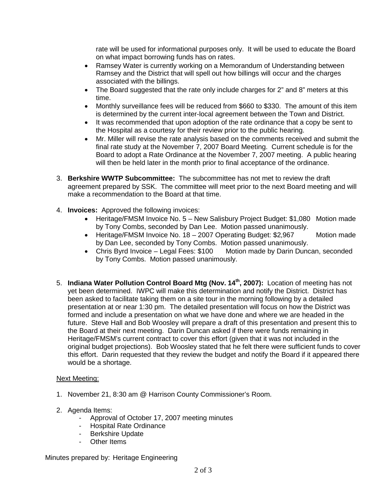rate will be used for informational purposes only. It will be used to educate the Board on what impact borrowing funds has on rates.

- Ramsey Water is currently working on a Memorandum of Understanding between Ramsey and the District that will spell out how billings will occur and the charges associated with the billings.
- The Board suggested that the rate only include charges for 2" and 8" meters at this time.
- Monthly surveillance fees will be reduced from \$660 to \$330. The amount of this item is determined by the current inter-local agreement between the Town and District.
- It was recommended that upon adoption of the rate ordinance that a copy be sent to the Hospital as a courtesy for their review prior to the public hearing.
- Mr. Miller will revise the rate analysis based on the comments received and submit the final rate study at the November 7, 2007 Board Meeting. Current schedule is for the Board to adopt a Rate Ordinance at the November 7, 2007 meeting. A public hearing will then be held later in the month prior to final acceptance of the ordinance.
- 3. **Berkshire WWTP Subcommittee:** The subcommittee has not met to review the draft agreement prepared by SSK. The committee will meet prior to the next Board meeting and will make a recommendation to the Board at that time.
- 4. **Invoices:** Approved the following invoices:
	- Heritage/FMSM Invoice No. 5 New Salisbury Project Budget: \$1,080 Motion made by Tony Combs, seconded by Dan Lee. Motion passed unanimously.
	- Heritage/FMSM Invoice No. 18 2007 Operating Budget: \$2,967 Motion made by Dan Lee, seconded by Tony Combs. Motion passed unanimously.
	- Chris Byrd Invoice Legal Fees: \$100 Motion made by Darin Duncan, seconded by Tony Combs. Motion passed unanimously.
- 5. **Indiana Water Pollution Control Board Mtg (Nov. 14th, 2007):** Location of meeting has not yet been determined. IWPC will make this determination and notify the District. District has been asked to facilitate taking them on a site tour in the morning following by a detailed presentation at or near 1:30 pm. The detailed presentation will focus on how the District was formed and include a presentation on what we have done and where we are headed in the future. Steve Hall and Bob Woosley will prepare a draft of this presentation and present this to the Board at their next meeting. Darin Duncan asked if there were funds remaining in Heritage/FMSM's current contract to cover this effort (given that it was not included in the original budget projections). Bob Woosley stated that he felt there were sufficient funds to cover this effort. Darin requested that they review the budget and notify the Board if it appeared there would be a shortage.

### Next Meeting:

- 1. November 21, 8:30 am @ Harrison County Commissioner's Room.
- 2. Agenda Items:
	- Approval of October 17, 2007 meeting minutes
	- Hospital Rate Ordinance
	- Berkshire Update
	- Other Items

Minutes prepared by: Heritage Engineering